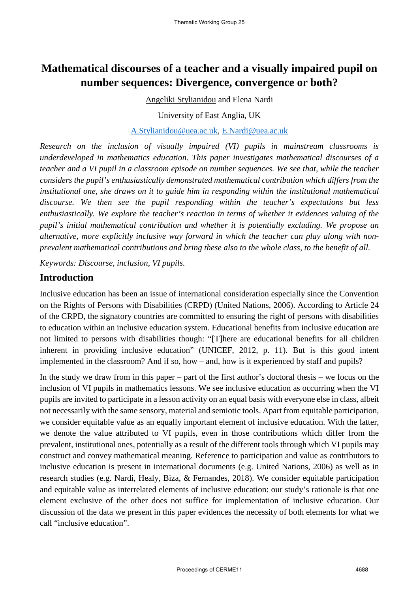# **Mathematical discourses of a teacher and a visually impaired pupil on number sequences: Divergence, convergence or both?**

Angeliki Stylianidou and Elena Nardi

University of East Anglia, UK

#### A.Stylianidou@uea.ac.uk, E.Nardi@uea.ac.uk

*Research on the inclusion of visually impaired (VI) pupils in mainstream classrooms is underdeveloped in mathematics education. This paper investigates mathematical discourses of a teacher and a VI pupil in a classroom episode on number sequences. We see that, while the teacher considers the pupil's enthusiastically demonstrated mathematical contribution which differs from the institutional one, she draws on it to guide him in responding within the institutional mathematical discourse. We then see the pupil responding within the teacher's expectations but less enthusiastically. We explore the teacher's reaction in terms of whether it evidences valuing of the pupil's initial mathematical contribution and whether it is potentially excluding. We propose an alternative, more explicitly inclusive way forward in which the teacher can play along with nonprevalent mathematical contributions and bring these also to the whole class, to the benefit of all.*

*Keywords: Discourse, inclusion, VI pupils.* 

### **Introduction**

Inclusive education has been an issue of international consideration especially since the Convention on the Rights of Persons with Disabilities (CRPD) (United Nations, 2006). According to Article 24 of the CRPD, the signatory countries are committed to ensuring the right of persons with disabilities to education within an inclusive education system. Educational benefits from inclusive education are not limited to persons with disabilities though: "[T]here are educational benefits for all children inherent in providing inclusive education" (UNICEF, 2012, p. 11). But is this good intent implemented in the classroom? And if so, how – and, how is it experienced by staff and pupils?

In the study we draw from in this paper – part of the first author's doctoral thesis – we focus on the inclusion of VI pupils in mathematics lessons. We see inclusive education as occurring when the VI pupils are invited to participate in a lesson activity on an equal basis with everyone else in class, albeit not necessarily with the same sensory, material and semiotic tools. Apart from equitable participation, we consider equitable value as an equally important element of inclusive education. With the latter, we denote the value attributed to VI pupils, even in those contributions which differ from the prevalent, institutional ones, potentially as a result of the different tools through which VI pupils may construct and convey mathematical meaning. Reference to participation and value as contributors to inclusive education is present in international documents (e.g. United Nations, 2006) as well as in research studies (e.g. Nardi, Healy, Biza, & Fernandes, 2018). We consider equitable participation and equitable value as interrelated elements of inclusive education: our study's rationale is that one element exclusive of the other does not suffice for implementation of inclusive education. Our discussion of the data we present in this paper evidences the necessity of both elements for what we call "inclusive education".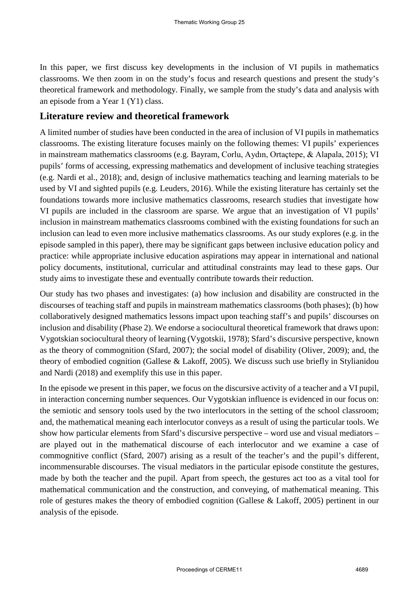In this paper, we first discuss key developments in the inclusion of VI pupils in mathematics classrooms. We then zoom in on the study's focus and research questions and present the study's theoretical framework and methodology. Finally, we sample from the study's data and analysis with an episode from a Year 1 (Y1) class.

## **Literature review and theoretical framework**

A limited number of studies have been conducted in the area of inclusion of VI pupils in mathematics classrooms. The existing literature focuses mainly on the following themes: VI pupils' experiences in mainstream mathematics classrooms (e.g. Bayram, Corlu, Aydın, Ortaçtepe, & Alapala, 2015); VI pupils' forms of accessing, expressing mathematics and development of inclusive teaching strategies (e.g. Nardi et al., 2018); and, design of inclusive mathematics teaching and learning materials to be used by VI and sighted pupils (e.g. Leuders, 2016). While the existing literature has certainly set the foundations towards more inclusive mathematics classrooms, research studies that investigate how VI pupils are included in the classroom are sparse. We argue that an investigation of VI pupils' inclusion in mainstream mathematics classrooms combined with the existing foundations for such an inclusion can lead to even more inclusive mathematics classrooms. As our study explores (e.g. in the episode sampled in this paper), there may be significant gaps between inclusive education policy and practice: while appropriate inclusive education aspirations may appear in international and national policy documents, institutional, curricular and attitudinal constraints may lead to these gaps. Our study aims to investigate these and eventually contribute towards their reduction.

Our study has two phases and investigates: (a) how inclusion and disability are constructed in the discourses of teaching staff and pupils in mainstream mathematics classrooms (both phases); (b) how collaboratively designed mathematics lessons impact upon teaching staff's and pupils' discourses on inclusion and disability (Phase 2). We endorse a sociocultural theoretical framework that draws upon: Vygotskian sociocultural theory of learning (Vygotskii, 1978); Sfard's discursive perspective, known as the theory of commognition (Sfard, 2007); the social model of disability (Oliver, 2009); and, the theory of embodied cognition (Gallese & Lakoff, 2005). We discuss such use briefly in Stylianidou and Nardi (2018) and exemplify this use in this paper.

In the episode we present in this paper, we focus on the discursive activity of a teacher and a VI pupil, in interaction concerning number sequences. Our Vygotskian influence is evidenced in our focus on: the semiotic and sensory tools used by the two interlocutors in the setting of the school classroom; and, the mathematical meaning each interlocutor conveys as a result of using the particular tools. We show how particular elements from Sfard's discursive perspective – word use and visual mediators – are played out in the mathematical discourse of each interlocutor and we examine a case of commognitive conflict (Sfard, 2007) arising as a result of the teacher's and the pupil's different, incommensurable discourses. The visual mediators in the particular episode constitute the gestures, made by both the teacher and the pupil. Apart from speech, the gestures act too as a vital tool for mathematical communication and the construction, and conveying, of mathematical meaning. This role of gestures makes the theory of embodied cognition (Gallese & Lakoff, 2005) pertinent in our analysis of the episode.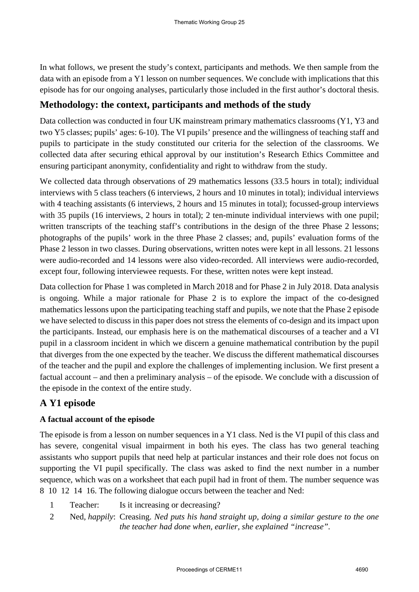In what follows, we present the study's context, participants and methods. We then sample from the data with an episode from a Y1 lesson on number sequences. We conclude with implications that this episode has for our ongoing analyses, particularly those included in the first author's doctoral thesis.

## **Methodology: the context, participants and methods of the study**

Data collection was conducted in four UK mainstream primary mathematics classrooms (Y1, Y3 and two Y5 classes; pupils' ages: 6-10). The VI pupils' presence and the willingness of teaching staff and pupils to participate in the study constituted our criteria for the selection of the classrooms. We collected data after securing ethical approval by our institution's Research Ethics Committee and ensuring participant anonymity, confidentiality and right to withdraw from the study.

We collected data through observations of 29 mathematics lessons (33.5 hours in total); individual interviews with 5 class teachers (6 interviews, 2 hours and 10 minutes in total); individual interviews with 4 teaching assistants (6 interviews, 2 hours and 15 minutes in total); focussed-group interviews with 35 pupils (16 interviews, 2 hours in total); 2 ten-minute individual interviews with one pupil; written transcripts of the teaching staff's contributions in the design of the three Phase 2 lessons; photographs of the pupils' work in the three Phase 2 classes; and, pupils' evaluation forms of the Phase 2 lesson in two classes. During observations, written notes were kept in all lessons. 21 lessons were audio-recorded and 14 lessons were also video-recorded. All interviews were audio-recorded, except four, following interviewee requests. For these, written notes were kept instead.

Data collection for Phase 1 was completed in March 2018 and for Phase 2 in July 2018. Data analysis is ongoing. While a major rationale for Phase 2 is to explore the impact of the co-designed mathematics lessons upon the participating teaching staff and pupils, we note that the Phase 2 episode we have selected to discuss in this paper does not stress the elements of co-design and its impact upon the participants. Instead, our emphasis here is on the mathematical discourses of a teacher and a VI pupil in a classroom incident in which we discern a genuine mathematical contribution by the pupil that diverges from the one expected by the teacher. We discuss the different mathematical discourses of the teacher and the pupil and explore the challenges of implementing inclusion. We first present a factual account – and then a preliminary analysis – of the episode. We conclude with a discussion of the episode in the context of the entire study.

## **A Y1 episode**

### **A factual account of the episode**

The episode is from a lesson on number sequences in a Y1 class. Ned is the VI pupil of this class and has severe, congenital visual impairment in both his eyes. The class has two general teaching assistants who support pupils that need help at particular instances and their role does not focus on supporting the VI pupil specifically. The class was asked to find the next number in a number sequence, which was on a worksheet that each pupil had in front of them. The number sequence was 8 10 12 14 16. The following dialogue occurs between the teacher and Ned:

- 1 Teacher: Is it increasing or decreasing?
- 2 Ned*, happily*: Creasing. *Ned puts his hand straight up, doing a similar gesture to the one the teacher had done when, earlier, she explained "increase".*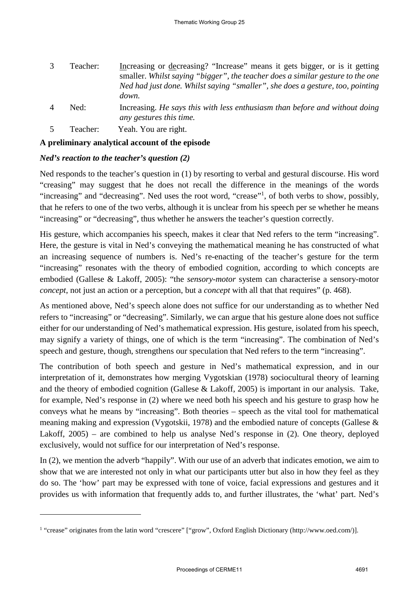- 3 Teacher: Increasing or decreasing? "Increase" means it gets bigger, or is it getting smaller. *Whilst saying "bigger", the teacher does a similar gesture to the one Ned had just done. Whilst saying "smaller", she does a gesture, too, pointing down.*
- 4 Ned: Increasing. *He says this with less enthusiasm than before and without doing any gestures this time.*
- 5 Teacher: Yeah. You are right.

### **A preliminary analytical account of the episode**

### *Ned's reaction to the teacher's question (2)*

-

Ned responds to the teacher's question in (1) by resorting to verbal and gestural discourse. His word "creasing" may suggest that he does not recall the difference in the meanings of the words "increasing" and "decreasing". Ned uses the root word, "crease"<sup>1</sup>, of both verbs to show, possibly, that he refers to one of the two verbs, although it is unclear from his speech per se whether he means "increasing" or "decreasing", thus whether he answers the teacher's question correctly.

His gesture, which accompanies his speech, makes it clear that Ned refers to the term "increasing". Here, the gesture is vital in Ned's conveying the mathematical meaning he has constructed of what an increasing sequence of numbers is. Ned's re-enacting of the teacher's gesture for the term "increasing" resonates with the theory of embodied cognition, according to which concepts are embodied (Gallese & Lakoff, 2005): "the *sensory*-*motor* system can characterise a sensory-motor *concept*, not just an action or a perception, but a *concept* with all that that requires" (p. 468).

As mentioned above, Ned's speech alone does not suffice for our understanding as to whether Ned refers to "increasing" or "decreasing". Similarly, we can argue that his gesture alone does not suffice either for our understanding of Ned's mathematical expression. His gesture, isolated from his speech, may signify a variety of things, one of which is the term "increasing". The combination of Ned's speech and gesture, though, strengthens our speculation that Ned refers to the term "increasing".

The contribution of both speech and gesture in Ned's mathematical expression, and in our interpretation of it, demonstrates how merging Vygotskian (1978) sociocultural theory of learning and the theory of embodied cognition (Gallese & Lakoff, 2005) is important in our analysis. Take, for example, Ned's response in (2) where we need both his speech and his gesture to grasp how he conveys what he means by "increasing". Both theories – speech as the vital tool for mathematical meaning making and expression (Vygotskii, 1978) and the embodied nature of concepts (Gallese & Lakoff, 2005) – are combined to help us analyse Ned's response in (2). One theory, deployed exclusively, would not suffice for our interpretation of Ned's response.

In (2), we mention the adverb "happily". With our use of an adverb that indicates emotion, we aim to show that we are interested not only in what our participants utter but also in how they feel as they do so. The 'how' part may be expressed with tone of voice, facial expressions and gestures and it provides us with information that frequently adds to, and further illustrates, the 'what' part. Ned's

<sup>&</sup>lt;sup>1</sup> "crease" originates from the latin word "crescere" ["grow", Oxford English Dictionary (http://www.oed.com/)].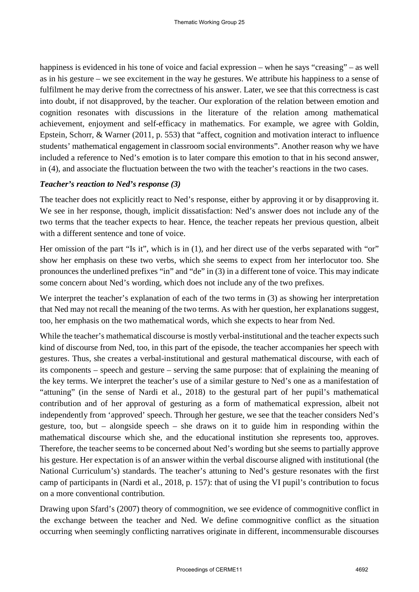happiness is evidenced in his tone of voice and facial expression – when he says "creasing" – as well as in his gesture – we see excitement in the way he gestures. We attribute his happiness to a sense of fulfilment he may derive from the correctness of his answer. Later, we see that this correctness is cast into doubt, if not disapproved, by the teacher. Our exploration of the relation between emotion and cognition resonates with discussions in the literature of the relation among mathematical achievement, enjoyment and self-efficacy in mathematics. For example, we agree with Goldin, Epstein, Schorr, & Warner (2011, p. 553) that "affect, cognition and motivation interact to influence students' mathematical engagement in classroom social environments". Another reason why we have included a reference to Ned's emotion is to later compare this emotion to that in his second answer, in (4), and associate the fluctuation between the two with the teacher's reactions in the two cases.

#### *Teacher's reaction to Ned's response (3)*

The teacher does not explicitly react to Ned's response, either by approving it or by disapproving it. We see in her response, though, implicit dissatisfaction: Ned's answer does not include any of the two terms that the teacher expects to hear. Hence, the teacher repeats her previous question, albeit with a different sentence and tone of voice.

Her omission of the part "Is it", which is in (1), and her direct use of the verbs separated with "or" show her emphasis on these two verbs, which she seems to expect from her interlocutor too. She pronounces the underlined prefixes "in" and "de" in (3) in a different tone of voice. This may indicate some concern about Ned's wording, which does not include any of the two prefixes.

We interpret the teacher's explanation of each of the two terms in (3) as showing her interpretation that Ned may not recall the meaning of the two terms. As with her question, her explanations suggest, too, her emphasis on the two mathematical words, which she expects to hear from Ned.

While the teacher's mathematical discourse is mostly verbal-institutional and the teacher expects such kind of discourse from Ned, too, in this part of the episode, the teacher accompanies her speech with gestures. Thus, she creates a verbal-institutional and gestural mathematical discourse, with each of its components – speech and gesture – serving the same purpose: that of explaining the meaning of the key terms. We interpret the teacher's use of a similar gesture to Ned's one as a manifestation of "attuning" (in the sense of Nardi et al., 2018) to the gestural part of her pupil's mathematical contribution and of her approval of gesturing as a form of mathematical expression, albeit not independently from 'approved' speech. Through her gesture, we see that the teacher considers Ned's gesture, too, but – alongside speech – she draws on it to guide him in responding within the mathematical discourse which she, and the educational institution she represents too, approves. Therefore, the teacher seems to be concerned about Ned's wording but she seems to partially approve his gesture. Her expectation is of an answer within the verbal discourse aligned with institutional (the National Curriculum's) standards. The teacher's attuning to Ned's gesture resonates with the first camp of participants in (Nardi et al., 2018, p. 157): that of using the VI pupil's contribution to focus on a more conventional contribution.

Drawing upon Sfard's (2007) theory of commognition, we see evidence of commognitive conflict in the exchange between the teacher and Ned. We define commognitive conflict as the situation occurring when seemingly conflicting narratives originate in different, incommensurable discourses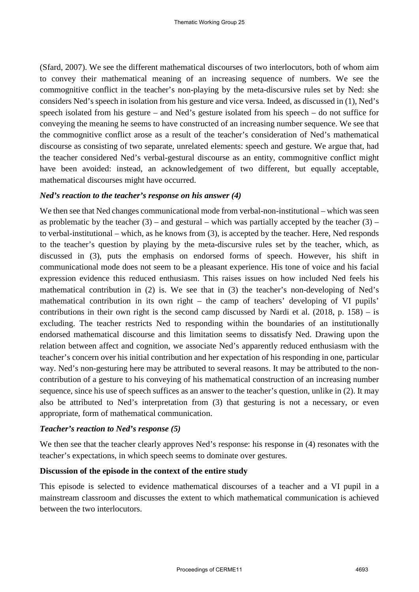(Sfard, 2007). We see the different mathematical discourses of two interlocutors, both of whom aim to convey their mathematical meaning of an increasing sequence of numbers. We see the commognitive conflict in the teacher's non-playing by the meta-discursive rules set by Ned: she considers Ned's speech in isolation from his gesture and vice versa. Indeed, as discussed in (1), Ned's speech isolated from his gesture – and Ned's gesture isolated from his speech – do not suffice for conveying the meaning he seems to have constructed of an increasing number sequence. We see that the commognitive conflict arose as a result of the teacher's consideration of Ned's mathematical discourse as consisting of two separate, unrelated elements: speech and gesture. We argue that, had the teacher considered Ned's verbal-gestural discourse as an entity, commognitive conflict might have been avoided: instead, an acknowledgement of two different, but equally acceptable, mathematical discourses might have occurred.

#### *Ned's reaction to the teacher's response on his answer (4)*

We then see that Ned changes communicational mode from verbal-non-institutional – which was seen as problematic by the teacher  $(3)$  – and gestural – which was partially accepted by the teacher  $(3)$  – to verbal-institutional – which, as he knows from (3), is accepted by the teacher. Here, Ned responds to the teacher's question by playing by the meta-discursive rules set by the teacher, which, as discussed in (3), puts the emphasis on endorsed forms of speech. However, his shift in communicational mode does not seem to be a pleasant experience. His tone of voice and his facial expression evidence this reduced enthusiasm. This raises issues on how included Ned feels his mathematical contribution in (2) is. We see that in (3) the teacher's non-developing of Ned's mathematical contribution in its own right – the camp of teachers' developing of VI pupils' contributions in their own right is the second camp discussed by Nardi et al.  $(2018, p. 158) -$  is excluding. The teacher restricts Ned to responding within the boundaries of an institutionally endorsed mathematical discourse and this limitation seems to dissatisfy Ned. Drawing upon the relation between affect and cognition, we associate Ned's apparently reduced enthusiasm with the teacher's concern over his initial contribution and her expectation of his responding in one, particular way. Ned's non-gesturing here may be attributed to several reasons. It may be attributed to the noncontribution of a gesture to his conveying of his mathematical construction of an increasing number sequence, since his use of speech suffices as an answer to the teacher's question, unlike in (2). It may also be attributed to Ned's interpretation from (3) that gesturing is not a necessary, or even appropriate, form of mathematical communication.

#### *Teacher's reaction to Ned's response (5)*

We then see that the teacher clearly approves Ned's response: his response in (4) resonates with the teacher's expectations, in which speech seems to dominate over gestures.

#### **Discussion of the episode in the context of the entire study**

This episode is selected to evidence mathematical discourses of a teacher and a VI pupil in a mainstream classroom and discusses the extent to which mathematical communication is achieved between the two interlocutors.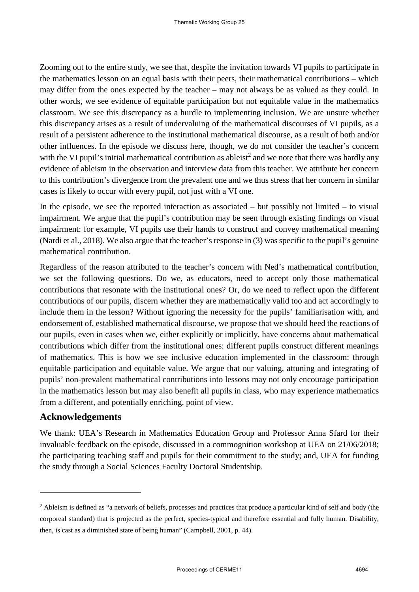Zooming out to the entire study, we see that, despite the invitation towards VI pupils to participate in the mathematics lesson on an equal basis with their peers, their mathematical contributions – which may differ from the ones expected by the teacher – may not always be as valued as they could. In other words, we see evidence of equitable participation but not equitable value in the mathematics classroom. We see this discrepancy as a hurdle to implementing inclusion. We are unsure whether this discrepancy arises as a result of undervaluing of the mathematical discourses of VI pupils, as a result of a persistent adherence to the institutional mathematical discourse, as a result of both and/or other influences. In the episode we discuss here, though, we do not consider the teacher's concern with the VI pupil's initial mathematical contribution as ableist<sup>2</sup> and we note that there was hardly any evidence of ableism in the observation and interview data from this teacher. We attribute her concern to this contribution's divergence from the prevalent one and we thus stress that her concern in similar cases is likely to occur with every pupil, not just with a VI one.

In the episode, we see the reported interaction as associated – but possibly not limited – to visual impairment. We argue that the pupil's contribution may be seen through existing findings on visual impairment: for example, VI pupils use their hands to construct and convey mathematical meaning (Nardi et al., 2018). We also argue that the teacher's response in (3) was specific to the pupil's genuine mathematical contribution.

Regardless of the reason attributed to the teacher's concern with Ned's mathematical contribution, we set the following questions. Do we, as educators, need to accept only those mathematical contributions that resonate with the institutional ones? Or, do we need to reflect upon the different contributions of our pupils, discern whether they are mathematically valid too and act accordingly to include them in the lesson? Without ignoring the necessity for the pupils' familiarisation with, and endorsement of, established mathematical discourse, we propose that we should heed the reactions of our pupils, even in cases when we, either explicitly or implicitly, have concerns about mathematical contributions which differ from the institutional ones: different pupils construct different meanings of mathematics. This is how we see inclusive education implemented in the classroom: through equitable participation and equitable value. We argue that our valuing, attuning and integrating of pupils' non-prevalent mathematical contributions into lessons may not only encourage participation in the mathematics lesson but may also benefit all pupils in class, who may experience mathematics from a different, and potentially enriching, point of view.

### **Acknowledgements**

<u>.</u>

We thank: UEA's Research in Mathematics Education Group and Professor Anna Sfard for their invaluable feedback on the episode, discussed in a commognition workshop at UEA on 21/06/2018; the participating teaching staff and pupils for their commitment to the study; and, UEA for funding the study through a Social Sciences Faculty Doctoral Studentship.

<sup>&</sup>lt;sup>2</sup> Ableism is defined as "a network of beliefs, processes and practices that produce a particular kind of self and body (the corporeal standard) that is projected as the perfect, species-typical and therefore essential and fully human. Disability, then, is cast as a diminished state of being human" (Campbell, 2001, p. 44).